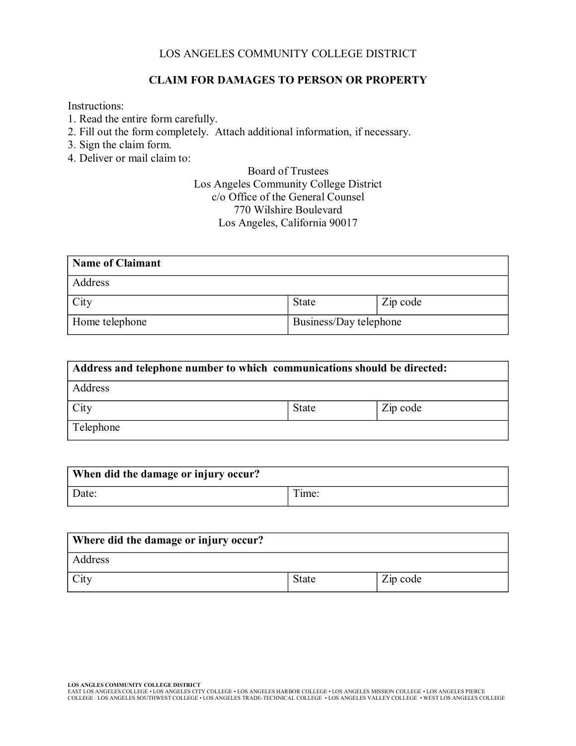## LOS ANGELES COMMUNITY COLLEGE DISTRICT

## **CLAIM FOR DAMAGES TO PERSON OR PROPERTY**

Instructions:

- 1. Read the entire form carefully.
- 2. Fill out the form completely. Attach additional information, if necessary.
- 3. Sign the claim form.
- 4. Deliver or mail claim to:

## Board of Trustees Los Angeles Community College District c/o Office of the General Counsel 770 Wilshire Boulevard Los Angeles, California 90017

| Name of Claimant |                        |          |
|------------------|------------------------|----------|
| Address          |                        |          |
| City             | State                  | Zip code |
| Home telephone   | Business/Day telephone |          |

| Address and telephone number to which communications should be directed: |              |          |
|--------------------------------------------------------------------------|--------------|----------|
| Address                                                                  |              |          |
| City                                                                     | <b>State</b> | Zip code |
| Telephone                                                                |              |          |

| When did the damage or injury occur? |        |
|--------------------------------------|--------|
| Date:                                | l ime: |

| Where did the damage or injury occur? |              |          |
|---------------------------------------|--------------|----------|
| Address                               |              |          |
| City                                  | <b>State</b> | Zip code |

L**OS ANGLES COMMUNITY COLLEGE DISTRICT**<br>EAST LOS ANGELES COLLEGE • LOS ANGELES CITY COLLEGE • LOS ANGELES HARBOR COLLEGE • LOS ANGELES MISSION COLLEGE • LOS ANGELES PIERCE<br>COLLEGE · LOS ANGELES SOUTHWEST COLLEGE • LOS ANG